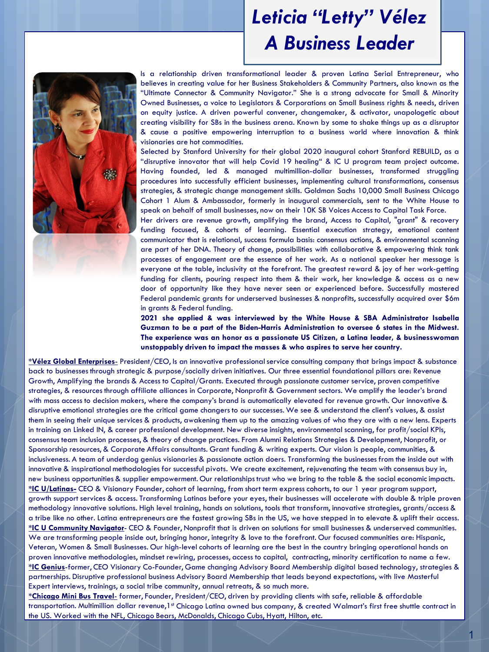### *Leticia "Letty" Vélez A Business Leader*



Is a relationship driven transformational leader & proven Latina Serial Entrepreneur, who believes in creating value for her Business Stakeholders & Community Partners, also known as the "Ultimate Connector & Community Navigator." She is a strong advocate for Small & Minority Owned Businesses, a voice to Legislators & Corporations on Small Business rights & needs, driven on equity justice. A driven powerful convener, changemaker, & activator, unapologetic about creating visibility for SBs in the business arena. Known by some to shake things up as a disruptor & cause a positive empowering interruption to a business world where innovation & think visionaries are hot commodities.

Selected by Stanford University for their global 2020 inaugural cohort Stanford REBUILD, as a "disruptive innovator that will help Covid 19 healing" & IC U program team project outcome. Having founded, led & managed multimillion-dollar businesses, transformed struggling procedures into successfully efficient businesses, implementing cultural transformations, consensus strategies, & strategic change management skills. Goldman Sachs 10,000 Small Business Chicago Cohort 1 Alum & Ambassador, formerly in inaugural commercials, sent to the White House to speak on behalf of small businesses, now on their 10K SB Voices Access to Capital Task Force.

Her drivers are revenue growth, amplifying the brand, Access to Capital, "grant" & recovery funding focused, & cohorts of learning. Essential execution strategy, emotional content communicator that is relational, success formula basis: consensus actions, & environmental scanning are part of her DNA. Theory of change, possibilities with collaborative & empowering think tank processes of engagement are the essence of her work. As a national speaker her message is everyone at the table, inclusivity at the forefront. The greatest reward & joy of her work-getting funding for clients, pouring respect into them & their work, her knowledge & access as a new door of opportunity like they have never seen or experienced before. Successfully mastered Federal pandemic grants for underserved businesses & nonprofits, successfully acquired over \$6m in grants & Federal funding.

**2021 she applied & was interviewed by the White House & SBA Administrator Isabella Guzman to be a part of the Biden-Harris Administration to oversee 6 states in the Midwest. The experience was an honor as a passionate US Citizen, a Latina leader, & businesswoman unstoppably driven to impact the masses & who aspires to serve her country.**

**\*Vélez Global Enterprises**- President/CEO, Is an innovative professional service consulting company that brings impact & substance back to businesses through strategic & purpose/socially driven initiatives. Our three essential foundational pillars are: Revenue Growth, Amplifying the brands & Access to Capital/Grants. Executed through passionate customer service, proven competitive strategies, & resources through affiliate alliances in Corporate, Nonprofit & Government sectors. We amplify the leader's brand with mass access to decision makers, where the company's brand is automatically elevated for revenue growth. Our innovative & disruptive emotional strategies are the critical game changers to our successes. We see & understand the client's values, & assist them in seeing their unique services & products, awakening them up to the amazing values of who they are with a new lens. Experts in training on Linked IN, & career professional development. New diverse insights, environmental scanning, for profit/social KPIs, consensus team inclusion processes, & theory of change practices. From Alumni Relations Strategies & Development, Nonprofit, or Sponsorship resources, & Corporate Affairs consultants. Grant funding & writing experts. Our vision is people, communities, & inclusiveness. A team of underdog genius visionaries & passionate action doers. Transforming the businesses from the inside out with innovative & inspirational methodologies for successful pivots. We create excitement, rejuvenating the team with consensus buy in, new business opportunities & supplier empowerment. Our relationships trust who we bring to the table & the social economic impacts. **\*IC U/Latinas-** CEO & Visionary Founder, cohort of learning, from short term express cohorts, to our 1 year program support, growth support services & access. Transforming Latinas before your eyes, their businesses will accelerate with double & triple proven methodology innovative solutions. High level training, hands on solutions, tools that transform, innovative strategies, grants/access & a tribe like no other. Latina entrepreneurs are the fastest growing SBs in the US, we have stepped in to elevate & uplift their access. **\*IC U Community Navigator**- CEO & Founder, Nonprofit that is driven on solutions for small businesses & underserved communities. We are transforming people inside out, bringing honor, integrity & love to the forefront. Our focused communities are: Hispanic, Veteran, Women & Small Businesses. Our high-level cohorts of learning are the best in the country bringing operational hands on proven innovative methodologies, mindset rewiring, processes, access to capital, contracting, minority certification to name a few. **\*IC Genius**-former, CEO Visionary Co-Founder, Game changing Advisory Board Membership digital based technology, strategies & partnerships. Disruptive professional business Advisory Board Membership that leads beyond expectations, with live Masterful Expert interviews, trainings, a social tribe community, annual retreats, & so much more.

**\*Chicago Mini Bus Travel**- former, Founder, President/CEO, driven by providing clients with safe, reliable & affordable transportation. Multimillion dollar revenue,1<sup>st</sup> Chicago Latina owned bus company, & created Walmart's first free shuttle contract in the US. Worked with the NFL, Chicago Bears, McDonalds, Chicago Cubs, Hyatt, Hilton, etc.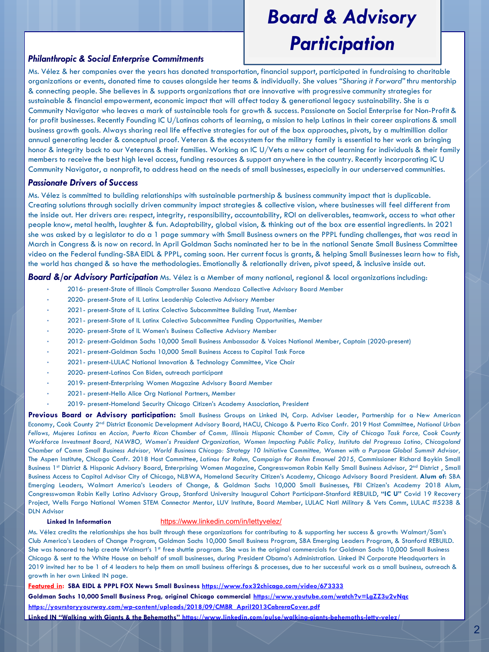# *Board & Advisory Participation*

### *Philanthropic & Social Enterprise Commitments*

Ms. Vélez & her companies over the years has donated transportation, financial support, participated in fundraising to charitable organizations or events, donated time to causes alongside her teams & individually. She values *"Sharing it Forward"* thru mentorship & connecting people. She believes in & supports organizations that are innovative with progressive community strategies for sustainable & financial empowerment, economic impact that will affect today & generational legacy sustainability. She is a Community Navigator who leaves a mark of sustainable tools for growth & success. Passionate on Social Enterprise for Non-Profit & for profit businesses. Recently Founding IC U/Latinas cohorts of learning, a mission to help Latinas in their career aspirations & small business growth goals. Always sharing real life effective strategies for out of the box approaches, pivots, by a multimillion dollar annual generating leader & conceptual proof. Veteran & the ecosystem for the military family is essential to her work on bringing honor & integrity back to our Veterans & their families. Working on IC U/Vets a new cohort of learning for individuals & their family members to receive the best high level access, funding resources & support anywhere in the country. Recently incorporating IC U Community Navigator, a nonprofit, to address head on the needs of small businesses, especially in our underserved communities.

#### *Passionate Drivers of Success*

Ms. Vélez is committed to building relationships with sustainable partnership & business community impact that is duplicable. Creating solutions through socially driven community impact strategies & collective vision, where businesses will feel different from the inside out. Her drivers are: respect, integrity, responsibility, accountability, ROI on deliverables, teamwork, access to what other people know, metal health, laughter & fun. Adaptability, global vision, & thinking out of the box are essential ingredients. In 2021 she was asked by a legislator to do a 1 page summary with Small Business owners on the PPPL funding challenges, that was read in March in Congress & is now on record. In April Goldman Sachs nominated her to be in the national Senate Small Business Committee video on the Federal funding-SBA EIDL & PPPL, coming soon. Her current focus is grants, & helping Small Businesses learn how to fish, the world has changed & so have the methodologies. Emotionally & relationally driven, pivot speed, & inclusive inside out.

#### *Board &/or Advisory Participation* Ms. Vélez is a Member of many national, regional & local organizations including:

- 2016- present-State of Illinois Comptroller Susana Mendoza Collective Advisory Board Member
- 2020- present-State of IL Latinx Leadership Colectivo Advisory Member
- 2021- present-State of IL Latinx Colectivo Subcommittee Building Trust, Member
- 2021- present-State of IL Latinx Colectivo Subcommittee Funding Opportunities, Member
- 2020- present-State of IL Women's Business Collective Advisory Member
- 2012- present-Goldman Sachs 10,000 Small Business Ambassador & Voices National Member, Captain (2020-present)
- 2021- present-Goldman Sachs 10,000 Small Business Access to Capital Task Force
- 2021- present-LULAC National Innovation & Technology Committee, Vice Chair
- 2020- present-Latinos Con Biden, outreach participant
- 2019- present-Enterprising Women Magazine Advisory Board Member
- 2021- present-Hello Alice Org National Partners, Member
- 2019- present-Homeland Security Chicago Citizen's Academy Association, President

**Previous Board or Advisory participation:** Small Business Groups on Linked IN, Corp. Adviser Leader, Partnership for a New American Economy, Cook County 2nd District Economic Development Advisory Board, HACU, Chicago & Puerto Rico Confr. 2019 Host Committee, *National Urban* Fellows, Mujeres Latinas en Accion, Puerto Rican Chamber of Comm, Illinois Hispanic Chamber of Comm, City of Chicago Task Force, Cook County Workforce Investment Board, NAWBO, Women's President Organization, Women Impacting Public Policy, Instituto del Progresso Latino, Chicagoland Chamber of Comm Small Business Advisor, World Business Chicago: Strategy 10 Initiative Committee, Women with a Purpose Global Summit Advisor, The Aspen Institute, Chicago Confr. 2018 Host Committee, *Latinos for Rahm, Campaign for Rahm Emanuel 2015,* Commissioner Richard Boykin Small Business 1<sup>st</sup> District & Hispanic Advisory Board, Enterprising Women Magazine, Congresswoman Robin Kelly Small Business Advisor, 2<sup>nd</sup> District, Small Business Access to Capital Advisor City of Chicago, NLBWA, Homeland Security Citizen's Academy, Chicago Advisory Board President. **Alum of:** SBA Emerging Leaders, Walmart America's Leaders of Change, & Goldman Sachs 10,000 Small Businesses, FBI Citizen's Academy 2018 Alum, Congresswoman Robin Kelly Latino Advisory Group, Stanford University Inaugural Cohort Participant-Stanford REBUILD, **"IC U"** Covid 19 Recovery Project, Wells Fargo National Women STEM Connector Mentor, LUV Institute, Board Member, LULAC Natl Military & Vets Comm, LULAC #5238 & DLN Advisor

#### **Linked In Information** <https://www.linkedin.com/in/lettyvelez/>

Ms. Vélez credits the relationships she has built through these organizations for contributing to & supporting her success & growth: Walmart/Sam's Club America's Leaders of Change Program, Goldman Sachs 10,000 Small Business Program, SBA Emerging Leaders Program, & Stanford REBUILD. She was honored to help create Walmart's 1<sup>st</sup> free shuttle program. She was in the original commercials for Goldman Sachs 10,000 Small Business Chicago & sent to the White House on behalf of small businesses, during President Obama's Administration. Linked IN Corporate Headquarters in 2019 invited her to be 1 of 4 leaders to help them on small business offerings & processes, due to her successful work as a small business, outreach & growth in her own Linked IN page.

**Featured in: SBA EIDL & PPPL FOX News Small Business <https://www.fox32chicago.com/video/673333>**

**Goldman Sachs 10,000 Small Business Prog, original Chicago commercial <https://www.youtube.com/watch?v=LgZZ3u2vNqc>**

**[https://yourstoryyourway.com/wp-content/uploads/2018/09/CMBR\\_April2013CabreraCover.pdf](https://yourstoryyourway.com/wp-content/uploads/2018/09/CMBR_April2013CabreraCover.pdf)**

**Linked IN "Walking with Giants & the Behemoths" https://www.linkedin.com/pulse/walking-giants-behemoths-letty-velez/**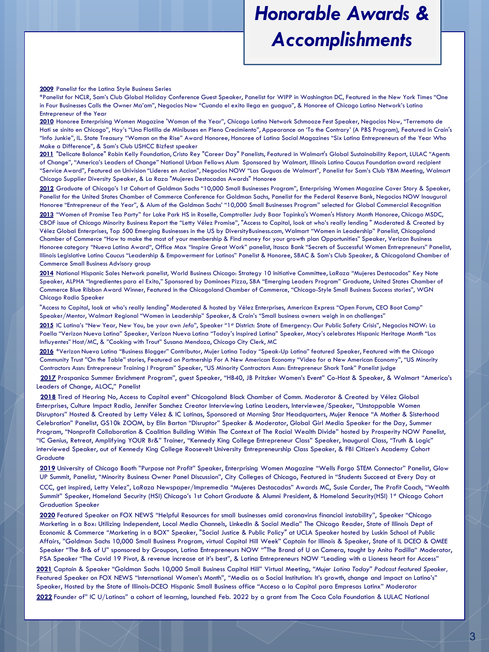### *Honorable Awards & Accomplishments*

**2009** Panelist for the Latina Style Business Series

\*Panelist for NCLR, Sam's Club Global Holiday Conference Guest Speaker, Panelist for WIPP in Washington DC, Featured in the New York Times "One in Four Businesses Calls the Owner Ma'am", Negocios Now "Cuando el exito llega en guagua", & Honoree of Chicago Latino Network's Latina Entrepreneur of the Year

**2010** Honoree Enterprising Women Magazine 'Woman of the Year", Chicago Latino Network Schmooze Fest Speaker, Negocios Now, "Terremoto de Hati se sinito en Chicago", Hoy's "Una Flotilla de Minibuses en Pleno Crecimiento", Appearance on 'To the Contrary' (A PBS Program), Featured in Crain's "Info Junkie", IL. State Treasury "Woman on the Rise" Award Honoree, Honoree of Latina Social Magazines "Six Latina Entrepreneurs of the Year Who Make a Difference", & Sam's Club USHCC Bizfest speaker

**2011** "Delicate Balance" Robin Kelly Foundation, Cristo Rey "Career Day" Panelists, Featured in Walmart's Global Sustainability Report, LULAC "Agents of Change", "America's Leaders of Change" National Urban Fellows Alum Sponsored by Walmart, Illinois Latino Caucus Foundation award recipient "Service Award", Featured on Univision "Lideres en Accion", Negocios NOW "Las Guguas de Walmart", Panelist for Sam's Club YBM Meeting, Walmart Chicago Supplier Diversity Speaker, & La Raza "Mujeres Destacadas Awards" Honoree

**2012** Graduate of Chicago's 1st Cohort of Goldman Sachs "10,000 Small Businesses Program", Enterprising Women Magazine Cover Story & Speaker, Panelist for the United States Chamber of Commerce Conference for Goldman Sachs, Panelist for the Federal Reserve Bank, Negocios NOW Inaugural Honoree "Entrepreneur of the Year", & Alum of the Goldman Sachs' "10,000 Small Businesses Program" selected for Global Commercial Recognition

**2013** "Women of Promise Tea Party" for Lake Park HS in Roselle, Comptroller Judy Baar Topinka's Women's History Month Honoree, Chicago MSDC, CBOF issue of Chicago Minority Business Report the "Letty Vélez Promise", "Access to Capital, look at who's really lending " Moderated & Created by Vélez Global Enterprises, Top 500 Emerging Businesses in the US by DiversityBusiness.com, Walmart "Women in Leadership" Panelist, Chicagoland Chamber of Commerce "How to make the most of your membership & Find money for your growth plan Opportunities" Speaker, Verizon Business Honoree category "Nueva Latina Award", Office Max "Inspire Great Work" panelist, Itasca Bank "Secrets of Successful Women Entrepreneurs" Panelist, Illinois Legislative Latino Caucus "Leadership & Empowerment for Latinos" Panelist & Honoree, SBAC & Sam's Club Speaker, & Chicagoland Chamber of Commerce Small Business Advisory group

**2014** National Hispanic Sales Network panelist, World Business Chicago: Strategy 10 Initiative Committee, LaRaza "Mujeres Destacadas" Key Note Speaker, ALPHA "Ingredientes para el Exito," Sponsored by Dominoes Pizza, SBA "Emerging Leaders Program" Graduate, United States Chamber of Commerce Blue Ribbon Award Winner, Featured in the Chicagoland Chamber of Commerce, "Chicago-Style Small Business Success stories", WGN Chicago Radio Speaker

"Access to Capital, look at who's really lending" Moderated & hosted by Vélez Enterprises, American Express "Open Forum, CEO Boot Camp" Speaker/Mentor, Walmart Regional "Women in Leadership" Speaker, & Crain's "Small business owners weigh in on challenges"

2015 IC Latina's "New Year, New You, be your own Jefa", Speaker "1st District: State of Emergency: Our Public Safety Crisis", Negocios NOW: La Paella "Verizon Nueva Latina" Speaker, Verizon Nueva Latina "Today's Inspired Latina" Speaker, Macy's celebrates Hispanic Heritage Month "Los Influyentes" Host/MC, & "Cooking with Trout" Susana Mendoza, Chicago City Clerk, MC

**2016** \*Verizon Nueva Latina "Business Blogger" Contributor, Mujer Latina Today "Speak-Up Latina" featured Speaker, Featured with the Chicago Community Trust "On the Table" stories, Featured on Partnership For A New American Economy "Video for a New American Economy", "US Minority Contractors Assn: Entrepreneur Training I Program" Speaker, "US Minority Contractors Assn: Entrepreneur Shark Tank" Panelist judge

**2017** Prospanica Summer Enrichment Program", guest Speaker, "HB40, JB Pritzker Women's Event" Co-Host & Speaker, & Walmart "America's Leaders of Change, ALOC," Panelist

**2018** Tired of Hearing No, Access to Capital event" Chicagoland Black Chamber of Comm. Moderator & Created by Vélez Global Enterprises, Culture Impact Radio, Jennifer Sanchez Creator Interviewing Latina Leaders, Interviewee/Speaker, "Unstoppable Women Disruptors" Hosted & Created by Letty Vélez & IC Latinas, Sponsored at Morning Star Headquarters, Mujer Renace "A Mother & Sisterhood Celebration" Panelist, GS10k ZOOM, by Elin Barton "Disruptor" Speaker & Moderator, Global Girl Media Speaker for the Day, Summer Program, "Nonprofit Collaboration & Coalition Building Within The Context of The Racial Wealth Divide" hosted by Prosperity NOW Panelist, "IC Genius, Retreat, Amplifying YOUR Br&" Trainer, "Kennedy King College Entrepreneur Class" Speaker, Inaugural Class, "Truth & Logic" interviewed Speaker, out of Kennedy King College Roosevelt University Entrepreneurship Class Speaker, & FBI Citizen's Academy Cohort **Graduate** 

**2019** University of Chicago Booth "Purpose not Profit" Speaker, Enterprising Women Magazine "Wells Fargo STEM Connector" Panelist, Glow UP Summit, Panelist, "Minority Business Owner Panel Discussion", City Colleges of Chicago, Featured in "Students Succeed at Every Day at CCC, get inspired, Letty Velez", LaRaza Newspaper/Impremedia "Mujeres Destacadas" Awards MC, Susie Carder, The Profit Coach, "Wealth Summit" Speaker, Homeland Security (HSI) Chicago's 1st Cohort Graduate & Alumni President, & Homeland Security(HSI) 1st Chicago Cohort Graduation Speaker

**2020** Featured Speaker on FOX NEWS "Helpful Resources for small businesses amid coronavirus financial instability", Speaker "Chicago Marketing in a Box: Utilizing Independent, Local Media Channels, LinkedIn & Social Media" The Chicago Reader, State of Illinois Dept of Economic & Commerce "Marketing in a BOX" Speaker, "Social Justice & Public Policy" at UCLA Speaker hosted by Luskin School of Public Affairs, "Goldman Sachs 10,000 Small Business Program, virtual Capital Hill Week" Captain for Illinois & Speaker, State of IL DCEO & OMEE Speaker "The Br& of U" sponsored by Groupon, Latina Entrepreneurs NOW ""The Brand of U on Camera, taught by Anita Padilla" Moderator, PSA Speaker "The Covid 19 Pivot, & revenue increase at it's best", & Latina Entrepreneurs NOW "Leading with a Lioness heart for Access" **2021** Captain & Speaker "Goldman Sachs 10,000 Small Business Capital Hill" Virtual Meeting, *"Mujer Latina Today" Podcast featured Speaker,*  Featured Speaker on FOX NEWS "International Women's Month", "Media as a Social Institution: It's growth, change and impact on Latino's" Speaker, Hosted by the State of Illinois-DCEO Hispanic Small Business office "Acceso a la Capital para Empresas Latinx" Moderator **2022** Founder of" IC U/Latinas" a cohort of learning, launched Feb. 2022 by a grant from The Coca Cola Foundation & LULAC National